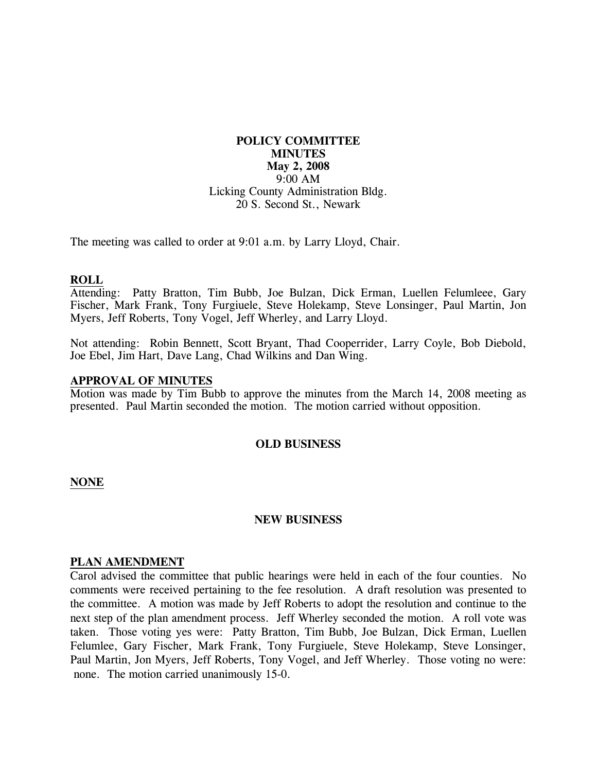# **POLICY COMMITTEE MINUTES May 2, 2008**  9:00 AM Licking County Administration Bldg. 20 S. Second St., Newark

The meeting was called to order at 9:01 a.m. by Larry Lloyd, Chair.

## **ROLL**

Attending: Patty Bratton, Tim Bubb, Joe Bulzan, Dick Erman, Luellen Felumleee, Gary Fischer, Mark Frank, Tony Furgiuele, Steve Holekamp, Steve Lonsinger, Paul Martin, Jon Myers, Jeff Roberts, Tony Vogel, Jeff Wherley, and Larry Lloyd.

Not attending: Robin Bennett, Scott Bryant, Thad Cooperrider, Larry Coyle, Bob Diebold, Joe Ebel, Jim Hart, Dave Lang, Chad Wilkins and Dan Wing.

## **APPROVAL OF MINUTES**

Motion was made by Tim Bubb to approve the minutes from the March 14, 2008 meeting as presented. Paul Martin seconded the motion. The motion carried without opposition.

#### **OLD BUSINESS**

#### **NONE**

#### **NEW BUSINESS**

#### **PLAN AMENDMENT**

Carol advised the committee that public hearings were held in each of the four counties. No comments were received pertaining to the fee resolution. A draft resolution was presented to the committee. A motion was made by Jeff Roberts to adopt the resolution and continue to the next step of the plan amendment process. Jeff Wherley seconded the motion. A roll vote was taken. Those voting yes were: Patty Bratton, Tim Bubb, Joe Bulzan, Dick Erman, Luellen Felumlee, Gary Fischer, Mark Frank, Tony Furgiuele, Steve Holekamp, Steve Lonsinger, Paul Martin, Jon Myers, Jeff Roberts, Tony Vogel, and Jeff Wherley. Those voting no were: none. The motion carried unanimously 15-0.